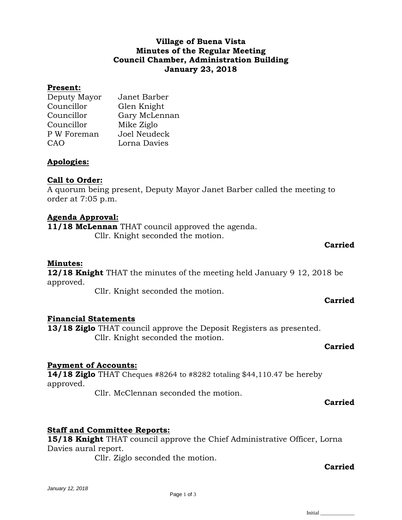## **Village of Buena Vista Minutes of the Regular Meeting Council Chamber, Administration Building January 23, 2018**

## **Present:**

| Deputy Mayor | Janet Barber  |
|--------------|---------------|
| Councillor   | Glen Knight   |
| Councillor   | Gary McLennan |
| Councillor   | Mike Ziglo    |
| P W Foreman  | Joel Neudeck  |
| CAO          | Lorna Davies  |

# **Apologies:**

# **Call to Order:**

A quorum being present, Deputy Mayor Janet Barber called the meeting to order at 7:05 p.m.

## **Agenda Approval:**

**11/18 McLennan** THAT council approved the agenda. Cllr. Knight seconded the motion.

## **Carried**

## **Minutes:**

**12/18 Knight** THAT the minutes of the meeting held January 9 12, 2018 be approved.

Cllr. Knight seconded the motion.

# **Financial Statements**

**13/18 Ziglo** THAT council approve the Deposit Registers as presented. Cllr. Knight seconded the motion.

#### **Carried**

**Carried**

## **Payment of Accounts:**

**14/18 Ziglo** THAT Cheques #8264 to #8282 totaling \$44,110.47 be hereby approved.

Cllr. McClennan seconded the motion.

## **Carried**

## **Staff and Committee Reports:**

**15/18 Knight** THAT council approve the Chief Administrative Officer, Lorna Davies aural report.

Cllr. Ziglo seconded the motion.

## **Carried**

Initial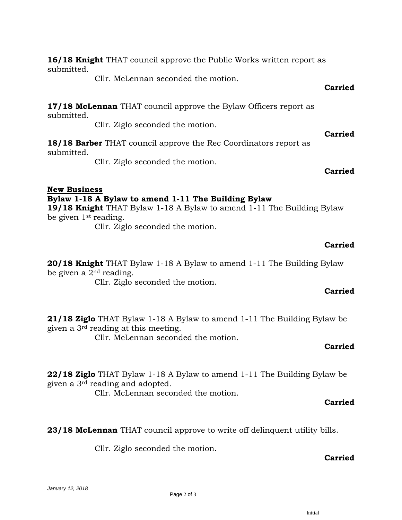**16/18 Knight** THAT council approve the Public Works written report as submitted.

Cllr. McLennan seconded the motion.

**17/18 McLennan** THAT council approve the Bylaw Officers report as submitted.

Cllr. Ziglo seconded the motion.

**18/18 Barber** THAT council approve the Rec Coordinators report as submitted.

Cllr. Ziglo seconded the motion.

**Carried**

**Carried**

**Carried**

#### **New Business**

#### **Bylaw 1-18 A Bylaw to amend 1-11 The Building Bylaw**

**19/18 Knight** THAT Bylaw 1-18 A Bylaw to amend 1-11 The Building Bylaw be given 1st reading.

Cllr. Ziglo seconded the motion.

#### **Carried**

**20/18 Knight** THAT Bylaw 1-18 A Bylaw to amend 1-11 The Building Bylaw be given a 2<sup>nd</sup> reading.

Cllr. Ziglo seconded the motion.

## **Carried**

**21/18 Ziglo** THAT Bylaw 1-18 A Bylaw to amend 1-11 The Building Bylaw be given a 3rd reading at this meeting.

Cllr. McLennan seconded the motion.

#### **Carried**

**22/18 Ziglo** THAT Bylaw 1-18 A Bylaw to amend 1-11 The Building Bylaw be given a 3rd reading and adopted.

Cllr. McLennan seconded the motion.

**Carried**

**23/18 McLennan** THAT council approve to write off delinquent utility bills.

Cllr. Ziglo seconded the motion.

## **Carried**

Page 2 of 3